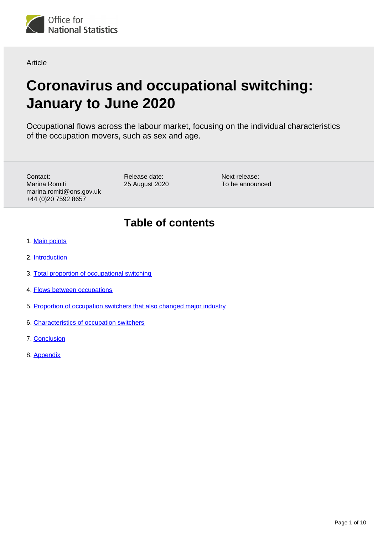

**Article** 

# **Coronavirus and occupational switching: January to June 2020**

Occupational flows across the labour market, focusing on the individual characteristics of the occupation movers, such as sex and age.

Contact: Marina Romiti marina.romiti@ons.gov.uk +44 (0)20 7592 8657

Release date: 25 August 2020 Next release: To be announced

## **Table of contents**

- 1. [Main points](#page-1-0)
- 2. [Introduction](#page-1-1)
- 3. [Total proportion of occupational switching](#page-2-0)
- 4. [Flows between occupations](#page-4-0)
- 5. [Proportion of occupation switchers that also changed major industry](#page-4-1)
- 6. [Characteristics of occupation switchers](#page-5-0)
- 7. [Conclusion](#page-8-0)
- 8. [Appendix](#page-9-0)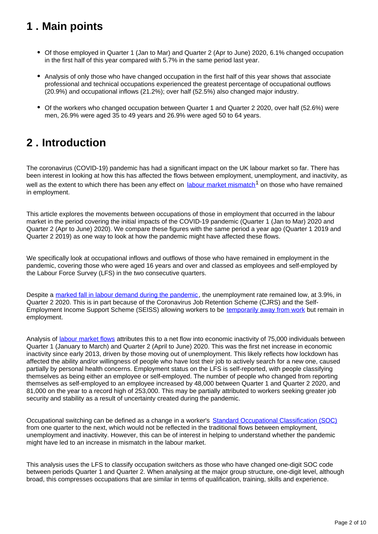## <span id="page-1-0"></span>**1 . Main points**

- Of those employed in Quarter 1 (Jan to Mar) and Quarter 2 (Apr to June) 2020, 6.1% changed occupation in the first half of this year compared with 5.7% in the same period last year.
- Analysis of only those who have changed occupation in the first half of this year shows that associate professional and technical occupations experienced the greatest percentage of occupational outflows (20.9%) and occupational inflows (21.2%); over half (52.5%) also changed major industry.
- Of the workers who changed occupation between Quarter 1 and Quarter 2 2020, over half (52.6%) were men, 26.9% were aged 35 to 49 years and 26.9% were aged 50 to 64 years.

## <span id="page-1-1"></span>**2 . Introduction**

The coronavirus (COVID-19) pandemic has had a significant impact on the UK labour market so far. There has been interest in looking at how this has affected the flows between employment, unemployment, and inactivity, as well as the extent to which there has been any effect on [labour market mismatch](https://www.ons.gov.uk/economy/nationalaccounts/uksectoraccounts/compendium/economicreview/april2019/overeducationandhourlywagesintheuklabourmarket2006to2017)<sup>1</sup> on those who have remained in employment.

This article explores the movements between occupations of those in employment that occurred in the labour market in the period covering the initial impacts of the COVID-19 pandemic (Quarter 1 (Jan to Mar) 2020 and Quarter 2 (Apr to June) 2020). We compare these figures with the same period a year ago (Quarter 1 2019 and Quarter 2 2019) as one way to look at how the pandemic might have affected these flows.

We specifically look at occupational inflows and outflows of those who have remained in employment in the pandemic, covering those who were aged 16 years and over and classed as employees and self-employed by the Labour Force Survey (LFS) in the two consecutive quarters.

Despite a [marked fall in labour demand during the pandemic](https://www.ons.gov.uk/employmentandlabourmarket/peopleinwork/employmentandemployeetypes/bulletins/jobsandvacanciesintheuk/august2020), the unemployment rate remained low, at 3.9%, in Quarter 2 2020. This is in part because of the Coronavirus Job Retention Scheme (CJRS) and the Self-Employment Income Support Scheme (SEISS) allowing workers to be [temporarily away from work](https://www.ons.gov.uk/employmentandlabourmarket/peopleinwork/employmentandemployeetypes/bulletins/uklabourmarket/august2020) but remain in employment.

Analysis of [labour market flows](https://www.ons.gov.uk/employmentandlabourmarket/peopleinwork/employmentandemployeetypes/datasets/labourforcesurveyflowsestimatesx02) attributes this to a net flow into economic inactivity of 75,000 individuals between Quarter 1 (January to March) and Quarter 2 (April to June) 2020. This was the first net increase in economic inactivity since early 2013, driven by those moving out of unemployment. This likely reflects how lockdown has affected the ability and/or willingness of people who have lost their job to actively search for a new one, caused partially by personal health concerns. Employment status on the LFS is self-reported, with people classifying themselves as being either an employee or self-employed. The number of people who changed from reporting themselves as self-employed to an employee increased by 48,000 between Quarter 1 and Quarter 2 2020, and 81,000 on the year to a record high of 253,000. This may be partially attributed to workers seeking greater job security and stability as a result of uncertainty created during the pandemic.

Occupational switching can be defined as a change in a worker's [Standard Occupational Classification \(SOC\)](https://www.ons.gov.uk/methodology/classificationsandstandards/standardoccupationalclassificationsoc/soc2010/soc2010volume1structureanddescriptionsofunitgroups) from one quarter to the next, which would not be reflected in the traditional flows between employment, unemployment and inactivity. However, this can be of interest in helping to understand whether the pandemic might have led to an increase in mismatch in the labour market.

This analysis uses the LFS to classify occupation switchers as those who have changed one-digit SOC code between periods Quarter 1 and Quarter 2. When analysing at the major group structure, one-digit level, although broad, this compresses occupations that are similar in terms of qualification, training, skills and experience.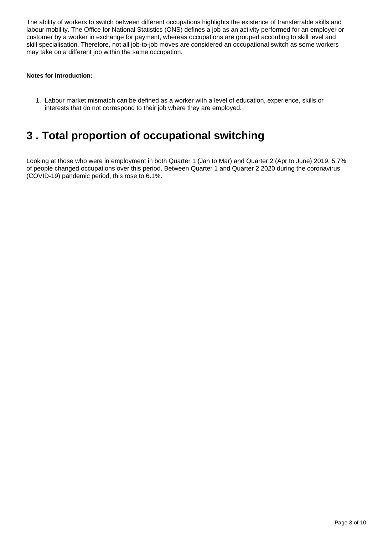The ability of workers to switch between different occupations highlights the existence of transferrable skills and labour mobility. The Office for National Statistics (ONS) defines a job as an activity performed for an employer or customer by a worker in exchange for payment, whereas occupations are grouped according to skill level and skill specialisation. Therefore, not all job-to-job moves are considered an occupational switch as some workers may take on a different job within the same occupation.

#### **Notes for Introduction:**

1. Labour market mismatch can be defined as a worker with a level of education, experience, skills or interests that do not correspond to their job where they are employed.

### <span id="page-2-0"></span>**3 . Total proportion of occupational switching**

Looking at those who were in employment in both Quarter 1 (Jan to Mar) and Quarter 2 (Apr to June) 2019, 5.7% of people changed occupations over this period. Between Quarter 1 and Quarter 2 2020 during the coronavirus (COVID-19) pandemic period, this rose to 6.1%.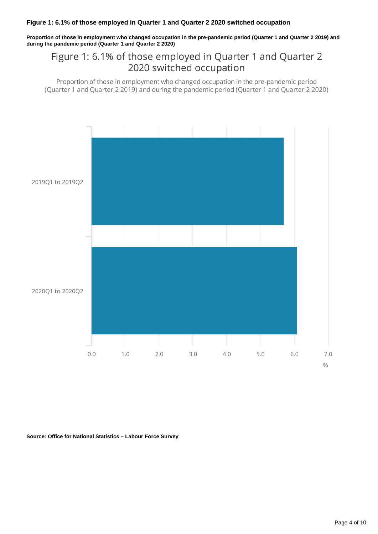**Proportion of those in employment who changed occupation in the pre-pandemic period (Quarter 1 and Quarter 2 2019) and during the pandemic period (Quarter 1 and Quarter 2 2020)**

### Figure 1: 6.1% of those employed in Quarter 1 and Quarter 2 2020 switched occupation

Proportion of those in employment who changed occupation in the pre-pandemic period (Quarter 1 and Quarter 2 2019) and during the pandemic period (Quarter 1 and Quarter 2 2020)



**Source: Office for National Statistics – Labour Force Survey**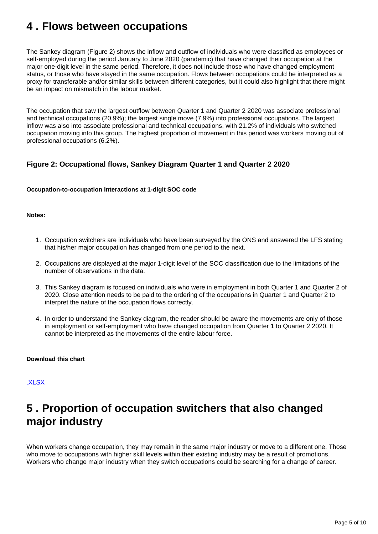### <span id="page-4-0"></span>**4 . Flows between occupations**

The Sankey diagram (Figure 2) shows the inflow and outflow of individuals who were classified as employees or self-employed during the period January to June 2020 (pandemic) that have changed their occupation at the major one-digit level in the same period. Therefore, it does not include those who have changed employment status, or those who have stayed in the same occupation. Flows between occupations could be interpreted as a proxy for transferable and/or similar skills between different categories, but it could also highlight that there might be an impact on mismatch in the labour market.

The occupation that saw the largest outflow between Quarter 1 and Quarter 2 2020 was associate professional and technical occupations (20.9%); the largest single move (7.9%) into professional occupations. The largest inflow was also into associate professional and technical occupations, with 21.2% of individuals who switched occupation moving into this group. The highest proportion of movement in this period was workers moving out of professional occupations (6.2%).

### **Figure 2: Occupational flows, Sankey Diagram Quarter 1 and Quarter 2 2020**

#### **Occupation-to-occupation interactions at 1-digit SOC code**

#### **Notes:**

- 1. Occupation switchers are individuals who have been surveyed by the ONS and answered the LFS stating that his/her major occupation has changed from one period to the next.
- 2. Occupations are displayed at the major 1-digit level of the SOC classification due to the limitations of the number of observations in the data.
- 3. This Sankey diagram is focused on individuals who were in employment in both Quarter 1 and Quarter 2 of 2020. Close attention needs to be paid to the ordering of the occupations in Quarter 1 and Quarter 2 to interpret the nature of the occupation flows correctly.
- 4. In order to understand the Sankey diagram, the reader should be aware the movements are only of those in employment or self-employment who have changed occupation from Quarter 1 to Quarter 2 2020. It cannot be interpreted as the movements of the entire labour force.

#### **Download this chart**

#### [.XLSX](https://www.ons.gov.uk/visualisations/dvc948/q1_q2/datadownload.xlsx )

## <span id="page-4-1"></span>**5 . Proportion of occupation switchers that also changed major industry**

When workers change occupation, they may remain in the same major industry or move to a different one. Those who move to occupations with higher skill levels within their existing industry may be a result of promotions. Workers who change major industry when they switch occupations could be searching for a change of career.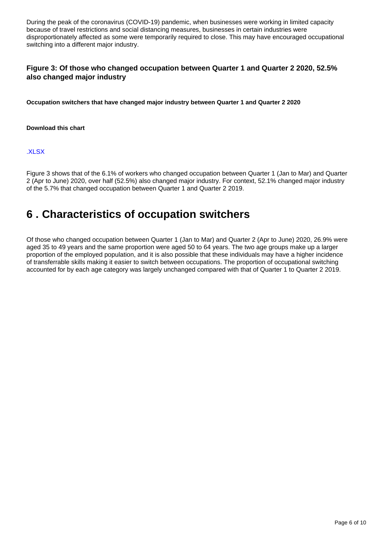During the peak of the coronavirus (COVID-19) pandemic, when businesses were working in limited capacity because of travel restrictions and social distancing measures, businesses in certain industries were disproportionately affected as some were temporarily required to close. This may have encouraged occupational switching into a different major industry.

### **Figure 3: Of those who changed occupation between Quarter 1 and Quarter 2 2020, 52.5% also changed major industry**

**Occupation switchers that have changed major industry between Quarter 1 and Quarter 2 2020**

#### **Download this chart**

[.XLSX](https://www.ons.gov.uk/visualisations/dvc948/indchange/wrapper/datadownload.xlsx )

Figure 3 shows that of the 6.1% of workers who changed occupation between Quarter 1 (Jan to Mar) and Quarter 2 (Apr to June) 2020, over half (52.5%) also changed major industry. For context, 52.1% changed major industry of the 5.7% that changed occupation between Quarter 1 and Quarter 2 2019.

### <span id="page-5-0"></span>**6 . Characteristics of occupation switchers**

Of those who changed occupation between Quarter 1 (Jan to Mar) and Quarter 2 (Apr to June) 2020, 26.9% were aged 35 to 49 years and the same proportion were aged 50 to 64 years. The two age groups make up a larger proportion of the employed population, and it is also possible that these individuals may have a higher incidence of transferrable skills making it easier to switch between occupations. The proportion of occupational switching accounted for by each age category was largely unchanged compared with that of Quarter 1 to Quarter 2 2019.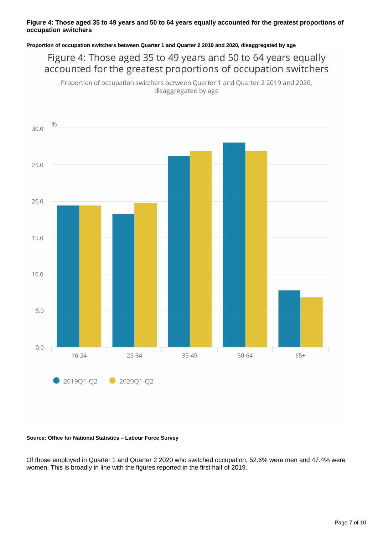#### **Figure 4: Those aged 35 to 49 years and 50 to 64 years equally accounted for the greatest proportions of occupation switchers**

**Proportion of occupation switchers between Quarter 1 and Quarter 2 2019 and 2020, disaggregated by age**

Figure 4: Those aged 35 to 49 years and 50 to 64 years equally accounted for the greatest proportions of occupation switchers

Proportion of occupation switchers between Quarter 1 and Quarter 2 2019 and 2020, disaggregated by age



#### **Source: Office for National Statistics – Labour Force Survey**

Of those employed in Quarter 1 and Quarter 2 2020 who switched occupation, 52.6% were men and 47.4% were women. This is broadly in line with the figures reported in the first half of 2019.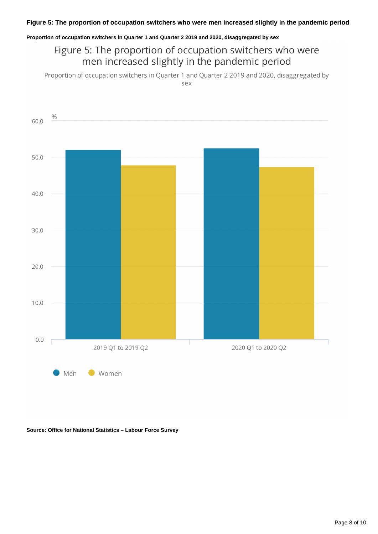#### **Proportion of occupation switchers in Quarter 1 and Quarter 2 2019 and 2020, disaggregated by sex**

### Figure 5: The proportion of occupation switchers who were men increased slightly in the pandemic period

Proportion of occupation switchers in Quarter 1 and Quarter 2 2019 and 2020, disaggregated by sex



**Source: Office for National Statistics – Labour Force Survey**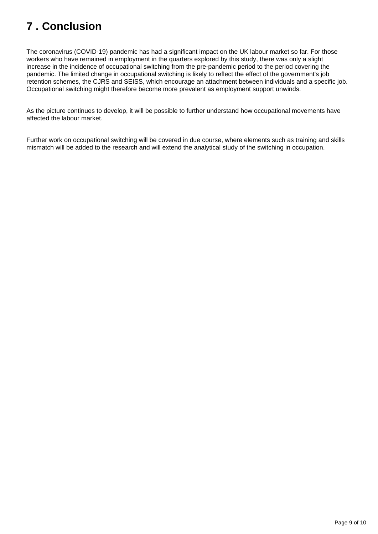## <span id="page-8-0"></span>**7 . Conclusion**

The coronavirus (COVID-19) pandemic has had a significant impact on the UK labour market so far. For those workers who have remained in employment in the quarters explored by this study, there was only a slight increase in the incidence of occupational switching from the pre-pandemic period to the period covering the pandemic. The limited change in occupational switching is likely to reflect the effect of the government's job retention schemes, the CJRS and SEISS, which encourage an attachment between individuals and a specific job. Occupational switching might therefore become more prevalent as employment support unwinds.

As the picture continues to develop, it will be possible to further understand how occupational movements have affected the labour market.

Further work on occupational switching will be covered in due course, where elements such as training and skills mismatch will be added to the research and will extend the analytical study of the switching in occupation.